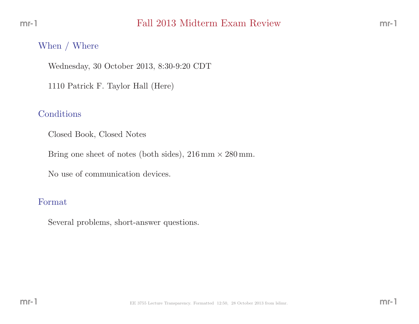### When / Where

Wednesday, <sup>30</sup> October 2013, 8:30-9:20 CDT

<sup>1110</sup> Patrick F. Taylor Hall (Here)

### Conditions

Closed Book, Closed Notes

Bring one sheet of notes (both sides),  $216 \text{ mm} \times 280 \text{ mm}$ .

No use of communication devices.

#### Format

Several problems, short-answer questions.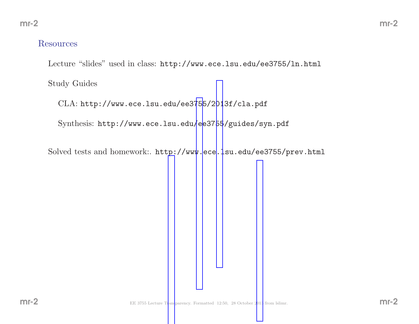#### Resources

Lecture "slides" used in class: http://www.ece.lsu.edu/ee3755/ln.html

Study Guides

 $\rm CLA\colon \texttt{http://www.ece.lsu.edu/ee3755/2013f/cla.pdf}$ 

 $\operatorname{Synthesis:}\ \texttt{http://www.ece.lsu.edu/ee3755/guides/syn.pdf}$  $\operatorname{Synthesis:}\ \texttt{http://www.ece.lsu.edu/ee3755/guides/syn.pdf}$  $\operatorname{Synthesis:}\ \texttt{http://www.ece.lsu.edu/ee3755/guides/syn.pdf}$  $\operatorname{Synthesis:}\ \texttt{http://www.ece.lsu.edu/ee3755/guides/syn.pdf}$  $\operatorname{Synthesis:}\ \texttt{http://www.ece.lsu.edu/ee3755/guides/syn.pdf}$ 

Solved tests and homework:. http://www.ece.lsu.edu/ee3755/prev.html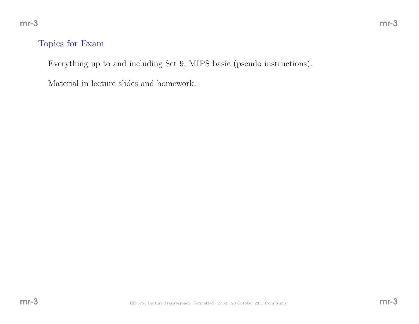## Topics for Exam

Everything up to and including Set 9, MIPS basic (pseudo instructions).

Material in lecture slides and homework.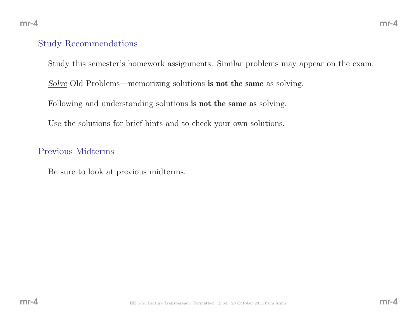#### Study Recommendations

Study this semester's homework assignments. Similar problems may appear on the exam.

 $Solve$  Old Problems—memorizing solutions **is not the same** as solving.

Following and understanding solutions **is not the same as** solving.

Use the solutions for brief hints and to check your own solutions.

#### Previous Midterms

Be sure to look at previous midterms.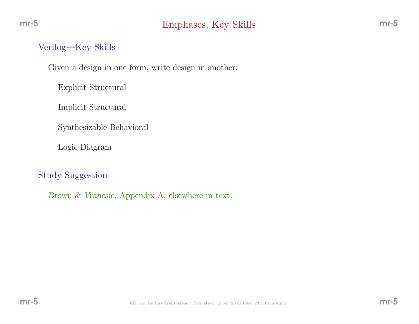## Verilog—Key Skills

Given <sup>a</sup> design in one form, write design in another:

Explicit Structural

Implicit Structural

Synthesizable Behavioral

Logic Diagram

Study Suggestion

Brown & Vranesic, Appendix A, elsewhere in text.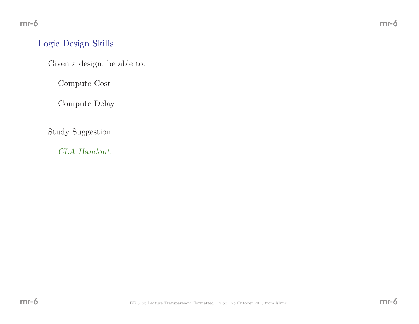## Logic Design Skills

Given <sup>a</sup> design, be able to:

Compute Cost

Compute Delay

Study Suggestion

CLA Handout,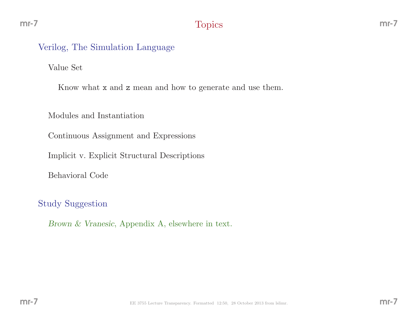## Verilog, The Simulation Language

Value Set

Know what **x** and **z** mean and how to generate and use them.

Modules and Instantiation

Continuous Assignment and Expressions

Implicit v. Explicit Structural Descriptions

Behavioral Code

Study Suggestion

Brown & Vranesic, Appendix A, elsewhere in text.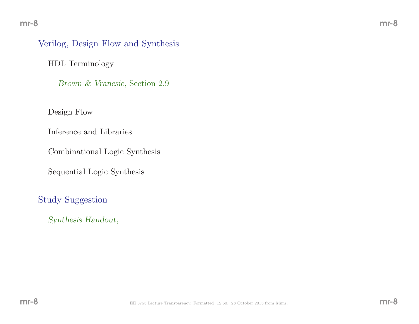## Verilog, Design Flow and Synthesis

HDL Terminology

Brown & Vranesic, Section 2.9

Design Flow

Inference and Libraries

Combinational Logic Synthesis

Sequential Logic Synthesis

Study Suggestion

Synthesis Handout,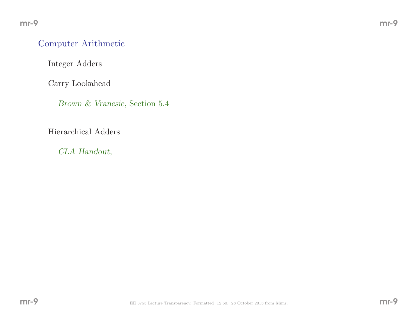### Computer Arithmetic

Integer Adders

Carry Lookahead

Brown & Vranesic, Section 5.4

Hierarchical Adders

CLA Handout,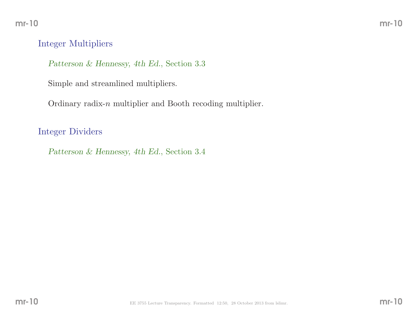## Integer Multipliers

Patterson & Hennessy, 4th Ed., Section 3.3

Simple and streamlined multipliers.

Ordinary radix-n multiplier and Booth recoding multiplier.

Integer Dividers

Patterson & Hennessy, 4th Ed., Section 3.4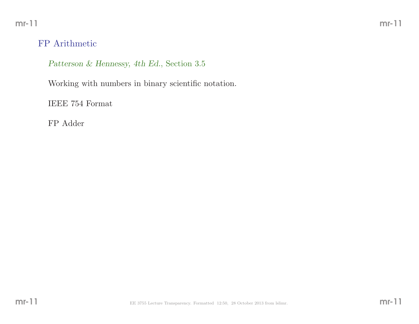mr-11

## FP Arithmetic

Patterson & Hennessy, 4th Ed., Section 3.5

Working with numbers in binary scientific notation.

IEEE <sup>754</sup> Format

FP Adder